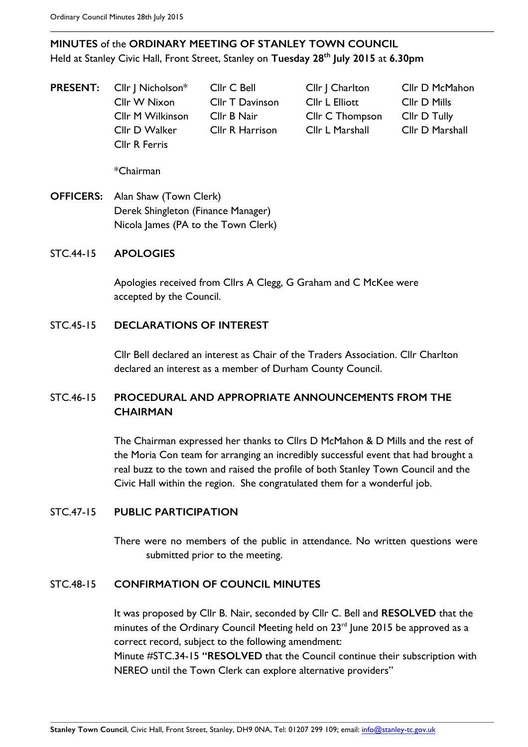# **MINUTES** of the **ORDINARY MEETING OF STANLEY TOWN COUNCIL** Held at Stanley Civic Hall, Front Street, Stanley on **Tuesday 28th July 2015** at **6.30pm**

**PRESENT:** Cllr | Nicholson\* Cllr C Bell Cllr | Charlton Cllr D McMahon Cllr W Nixon Cllr T Davinson Cllr L Elliott Cllr D Mills Cllr M Wilkinson Cllr B Nair Cllr C Thompson Cllr D Tully Cllr D Walker Cllr R Harrison Cllr L Marshall Cllr D Marshall Cllr R Ferris

\*Chairman

**OFFICERS:** Alan Shaw (Town Clerk) Derek Shingleton (Finance Manager) Nicola James (PA to the Town Clerk)

### STC.44-15 **APOLOGIES**

Apologies received from Cllrs A Clegg, G Graham and C McKee were accepted by the Council.

### STC.45-15 **DECLARATIONS OF INTEREST**

Cllr Bell declared an interest as Chair of the Traders Association. Cllr Charlton declared an interest as a member of Durham County Council.

# STC.46-15 **PROCEDURAL AND APPROPRIATE ANNOUNCEMENTS FROM THE CHAIRMAN**

The Chairman expressed her thanks to Cllrs D McMahon & D Mills and the rest of the Moria Con team for arranging an incredibly successful event that had brought a real buzz to the town and raised the profile of both Stanley Town Council and the Civic Hall within the region. She congratulated them for a wonderful job.

#### STC.47-15 **PUBLIC PARTICIPATION**

There were no members of the public in attendance. No written questions were submitted prior to the meeting.

#### STC.48-15 **CONFIRMATION OF COUNCIL MINUTES**

It was proposed by Cllr B. Nair, seconded by Cllr C. Bell and **RESOLVED** that the minutes of the Ordinary Council Meeting held on 23<sup>rd</sup> June 2015 be approved as a correct record, subject to the following amendment: Minute #STC.34-15 **"RESOLVED** that the Council continue their subscription with NEREO until the Town Clerk can explore alternative providers"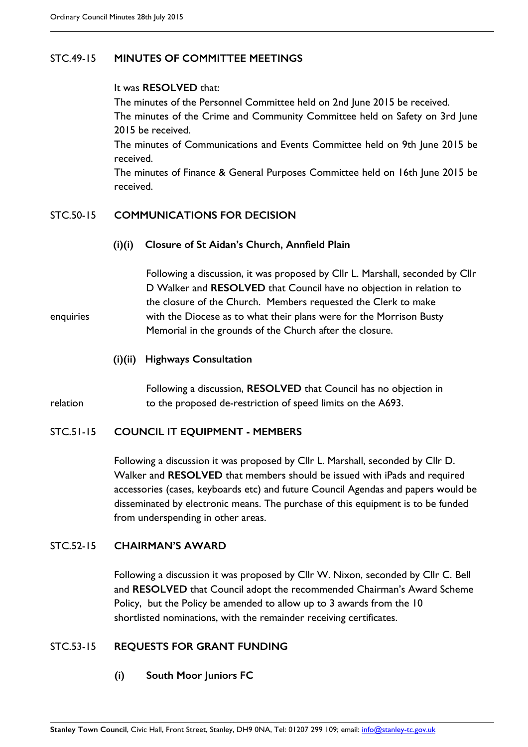### STC.49-15 **MINUTES OF COMMITTEE MEETINGS**

### It was **RESOLVED** that:

The minutes of the Personnel Committee held on 2nd June 2015 be received. The minutes of the Crime and Community Committee held on Safety on 3rd June 2015 be received.

The minutes of Communications and Events Committee held on 9th June 2015 be received.

The minutes of Finance & General Purposes Committee held on 16th June 2015 be received.

## STC.50-15 **COMMUNICATIONS FOR DECISION**

**(i)(i) Closure of St Aidan's Church, Annfield Plain**

Following a discussion, it was proposed by Cllr L. Marshall, seconded by Cllr D Walker and **RESOLVED** that Council have no objection in relation to the closure of the Church. Members requested the Clerk to make enquiries with the Diocese as to what their plans were for the Morrison Busty Memorial in the grounds of the Church after the closure.

**(i)(ii) Highways Consultation**

Following a discussion, **RESOLVED** that Council has no objection in relation to the proposed de-restriction of speed limits on the A693.

### STC.51-15 **COUNCIL IT EQUIPMENT - MEMBERS**

Following a discussion it was proposed by Cllr L. Marshall, seconded by Cllr D. Walker and **RESOLVED** that members should be issued with iPads and required accessories (cases, keyboards etc) and future Council Agendas and papers would be disseminated by electronic means. The purchase of this equipment is to be funded from underspending in other areas.

### STC.52-15 **CHAIRMAN'S AWARD**

Following a discussion it was proposed by Cllr W. Nixon, seconded by Cllr C. Bell and **RESOLVED** that Council adopt the recommended Chairman's Award Scheme Policy, but the Policy be amended to allow up to 3 awards from the 10 shortlisted nominations, with the remainder receiving certificates.

### STC.53-15 **REQUESTS FOR GRANT FUNDING**

**(i) South Moor Juniors FC**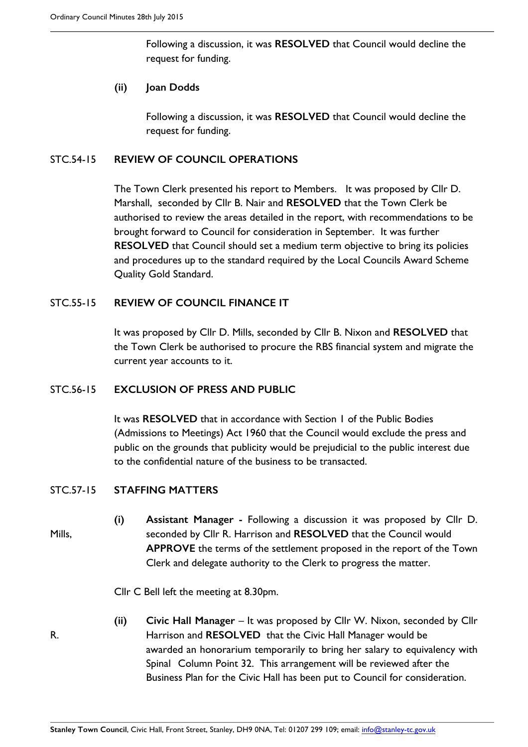Following a discussion, it was **RESOLVED** that Council would decline the request for funding.

### **(ii) Joan Dodds**

Following a discussion, it was **RESOLVED** that Council would decline the request for funding.

### STC.54-15 **REVIEW OF COUNCIL OPERATIONS**

The Town Clerk presented his report to Members. It was proposed by Cllr D. Marshall, seconded by Cllr B. Nair and **RESOLVED** that the Town Clerk be authorised to review the areas detailed in the report, with recommendations to be brought forward to Council for consideration in September. It was further **RESOLVED** that Council should set a medium term objective to bring its policies and procedures up to the standard required by the Local Councils Award Scheme Quality Gold Standard.

### STC.55-15 **REVIEW OF COUNCIL FINANCE IT**

It was proposed by Cllr D. Mills, seconded by Cllr B. Nixon and **RESOLVED** that the Town Clerk be authorised to procure the RBS financial system and migrate the current year accounts to it.

#### STC.56-15 **EXCLUSION OF PRESS AND PUBLIC**

It was **RESOLVED** that in accordance with Section 1 of the Public Bodies (Admissions to Meetings) Act 1960 that the Council would exclude the press and public on the grounds that publicity would be prejudicial to the public interest due to the confidential nature of the business to be transacted.

#### STC.57-15 **STAFFING MATTERS**

**(i) Assistant Manager -** Following a discussion it was proposed by Cllr D. Mills, seconded by Cllr R. Harrison and **RESOLVED** that the Council would **APPROVE** the terms of the settlement proposed in the report of the Town Clerk and delegate authority to the Clerk to progress the matter.

Cllr C Bell left the meeting at 8.30pm.

- 
- **(ii) Civic Hall Manager** It was proposed by Cllr W. Nixon, seconded by Cllr R. Harrison and **RESOLVED** that the Civic Hall Manager would be awarded an honorarium temporarily to bring her salary to equivalency with Spinal Column Point 32. This arrangement will be reviewed after the Business Plan for the Civic Hall has been put to Council for consideration.